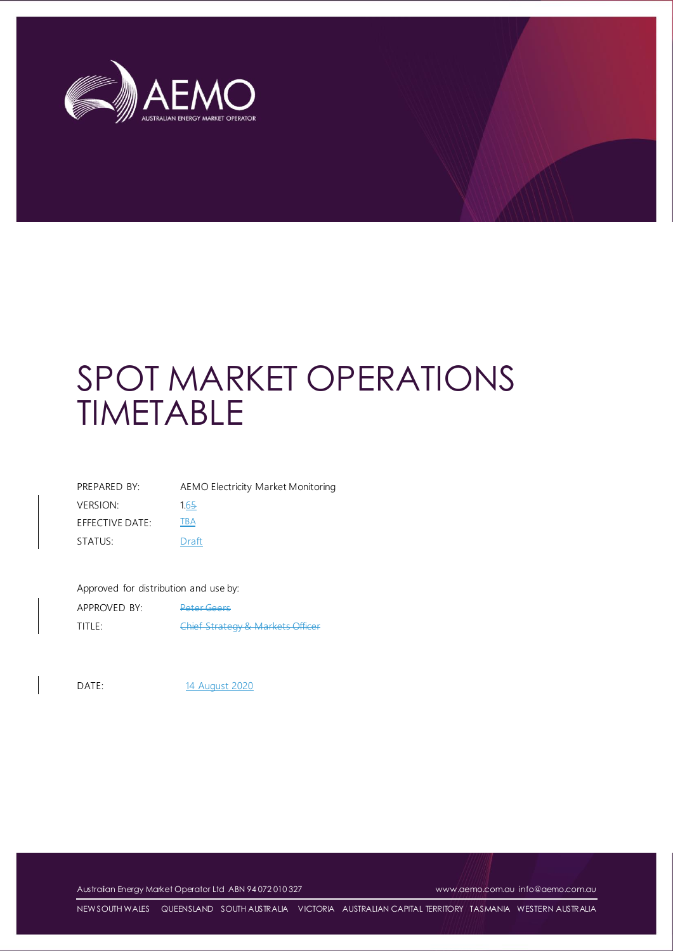

| PREPARED BY:    | AEMO Electricity Market Monitoring |
|-----------------|------------------------------------|
| <b>VERSION:</b> | 1.65                               |
| EFFECTIVE DATE: | TBA                                |
| STATUS:         | Draft                              |

#### Approved for distribution and use by:

| APPROVED BY: | <b>Peter Geers</b>                          |
|--------------|---------------------------------------------|
| TITLE:       | <b>Chief Strategy &amp; Markets Officer</b> |

DATE: 14 August 2020

Australian Energy Market Operator Ltd ABN 94 072 010 327 [www.aemo.com.au](http://www.aemo.com.au/) [info@aemo.com.au](mailto:info@aemo.com.au)

NEW SOUTH WALES QUEENSLAND SOUTH AUSTRALIA VICTORIA AUSTRALIAN CAPITAL TERRITORY TASMANIA WESTERN AUSTRALIA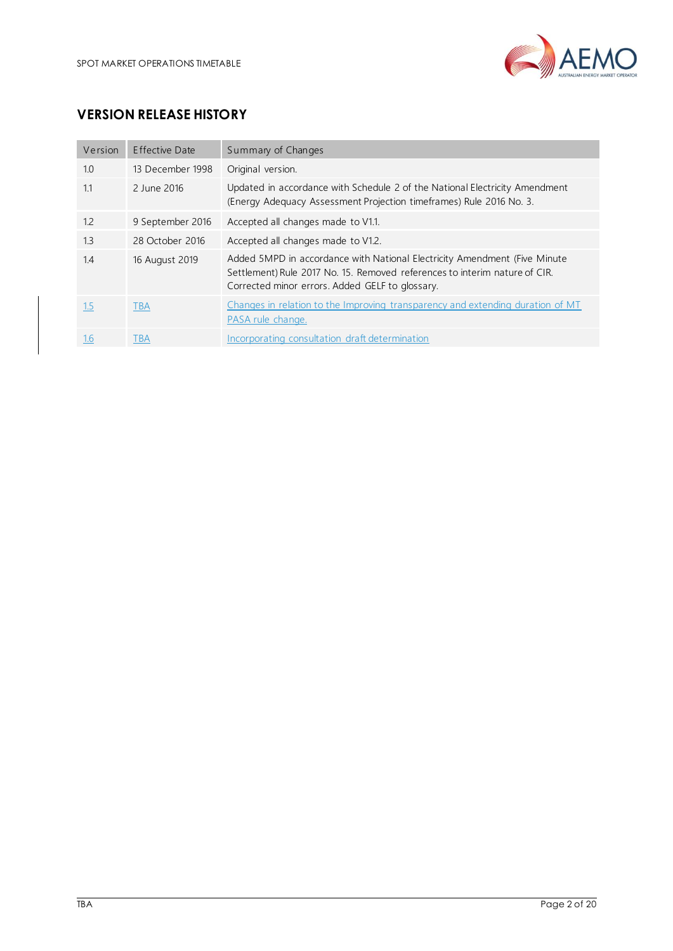

## **VERSION RELEASE HISTORY**

| Version | Effective Date   | Summary of Changes                                                                                                                                                                                         |
|---------|------------------|------------------------------------------------------------------------------------------------------------------------------------------------------------------------------------------------------------|
| 1.0     | 13 December 1998 | Original version.                                                                                                                                                                                          |
| 1.1     | 2 June 2016      | Updated in accordance with Schedule 2 of the National Electricity Amendment<br>(Energy Adequacy Assessment Projection timeframes) Rule 2016 No. 3.                                                         |
| 1.2     | 9 September 2016 | Accepted all changes made to V1.1.                                                                                                                                                                         |
| 1.3     | 28 October 2016  | Accepted all changes made to V1.2.                                                                                                                                                                         |
| 1.4     | 16 August 2019   | Added 5MPD in accordance with National Electricity Amendment (Five Minute<br>Settlement) Rule 2017 No. 15. Removed references to interim nature of CIR.<br>Corrected minor errors. Added GELF to glossary. |
| 1.5     | <b>TBA</b>       | Changes in relation to the Improving transparency and extending duration of MT<br>PASA rule change.                                                                                                        |
| 1.6     | TBA              | Incorporating consultation draft determination                                                                                                                                                             |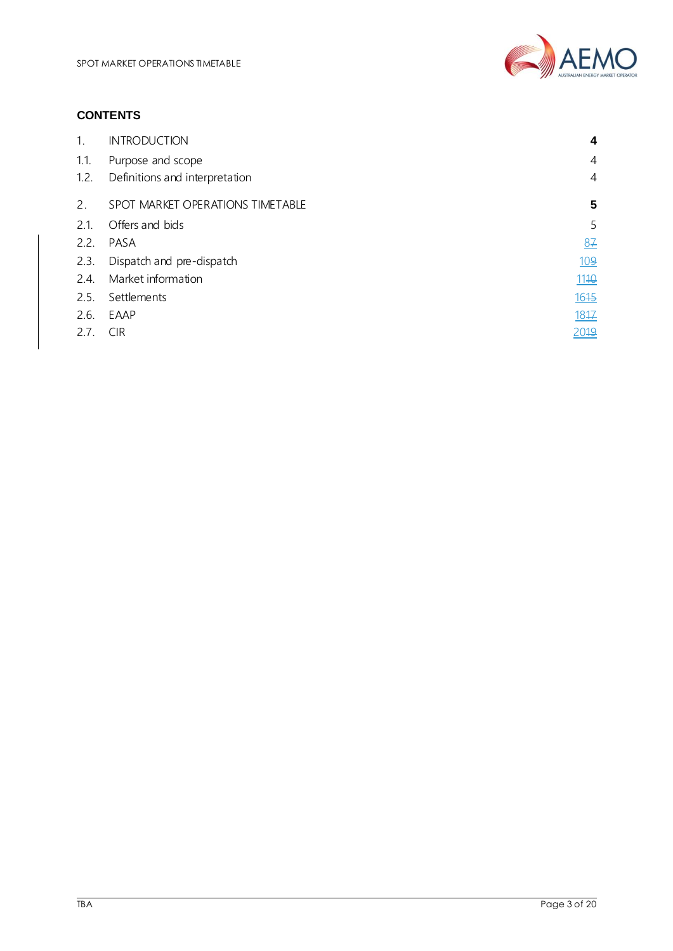

### **CONTENTS**

| 1.   | <b>INTRODUCTION</b>              | 4    |
|------|----------------------------------|------|
| 1.1. | Purpose and scope                | 4    |
| 1.2. | Definitions and interpretation   | 4    |
| 2.   | SPOT MARKET OPERATIONS TIMETABLE | 5    |
| 2.1. | Offers and bids                  | 5    |
| 2.2. | PASA                             | 87   |
| 2.3. | Dispatch and pre-dispatch        | 109  |
| 2.4. | Market information               | 1110 |
| 2.5. | Settlements                      | 1645 |
| 2.6. | EAAP                             | 1817 |
| 2.7. | <b>CIR</b>                       | 2019 |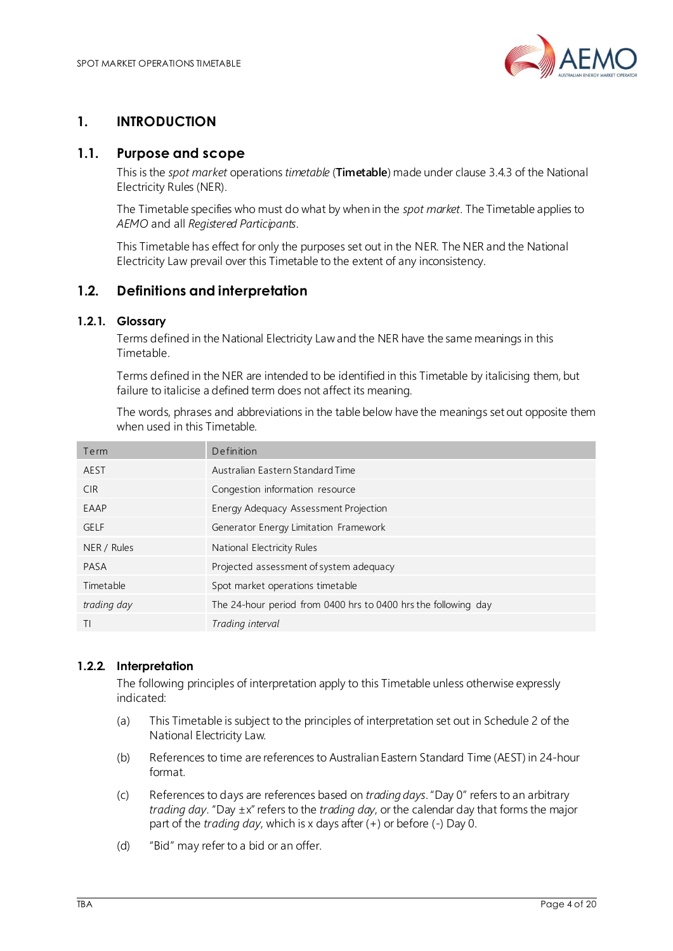

## <span id="page-3-0"></span>**1. INTRODUCTION**

### <span id="page-3-1"></span>**1.1. Purpose and scope**

This is the *spot market* operations *timetable* (**Timetable**) made under clause 3.4.3 of the National Electricity Rules (NER).

The Timetable specifies who must do what by when in the *spot market*. The Timetable applies to *AEMO* and all *Registered Participants*.

This Timetable has effect for only the purposes set out in the NER. The NER and the National Electricity Law prevail over this Timetable to the extent of any inconsistency.

### <span id="page-3-2"></span>**1.2. Definitions and interpretation**

### **1.2.1. Glossary**

Terms defined in the National Electricity Law and the NER have the same meanings in this Timetable.

Terms defined in the NER are intended to be identified in this Timetable by italicising them, but failure to italicise a defined term does not affect its meaning.

The words, phrases and abbreviations in the table below have the meanings set out opposite them when used in this Timetable.

| Definition                                                     |
|----------------------------------------------------------------|
| Australian Eastern Standard Time                               |
| Congestion information resource                                |
| Energy Adequacy Assessment Projection                          |
| Generator Energy Limitation Framework                          |
| National Electricity Rules                                     |
| Projected assessment of system adequacy                        |
| Spot market operations timetable                               |
| The 24-hour period from 0400 hrs to 0400 hrs the following day |
| Trading interval                                               |
|                                                                |

### **1.2.2. Interpretation**

The following principles of interpretation apply to this Timetable unless otherwise expressly indicated:

- (a) This Timetable is subject to the principles of interpretation set out in Schedule 2 of the National Electricity Law.
- (b) References to time are references to Australian Eastern Standard Time (AEST) in 24-hour format.
- (c) References to days are references based on *trading days*."Day 0" refers to an arbitrary *trading day*. "Day ±x" refers to the *trading day*, or the calendar day that forms the major part of the *trading day*, which is x days after (+) or before (-) Day 0.
- (d) "Bid" may refer to a bid or an offer.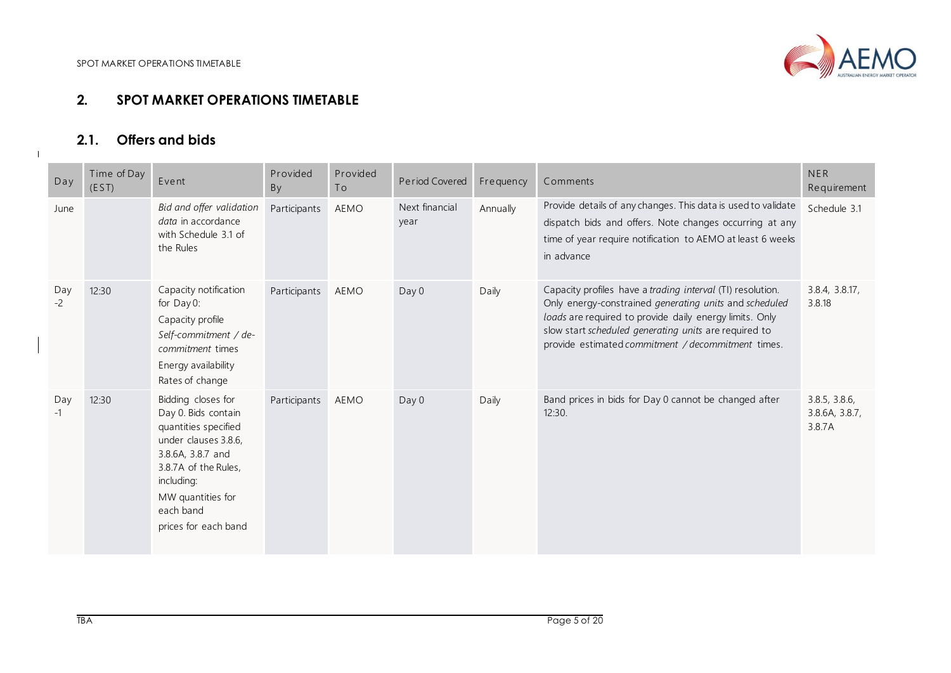

# **2.1. Offers and bids**

<span id="page-4-1"></span><span id="page-4-0"></span>

| Day         | Time of Day<br>(EST) | Event                                                                                                                                                                                                          | Provided<br>By | Provided<br>To | Period Covered         | Frequency | Comments                                                                                                                                                                                                                                                                                       | <b>NER</b><br>Requirement                 |
|-------------|----------------------|----------------------------------------------------------------------------------------------------------------------------------------------------------------------------------------------------------------|----------------|----------------|------------------------|-----------|------------------------------------------------------------------------------------------------------------------------------------------------------------------------------------------------------------------------------------------------------------------------------------------------|-------------------------------------------|
| June        |                      | Bid and offer validation<br>data in accordance<br>with Schedule 3.1 of<br>the Rules                                                                                                                            | Participants   | AEMO           | Next financial<br>year | Annually  | Provide details of any changes. This data is used to validate<br>dispatch bids and offers. Note changes occurring at any<br>time of year require notification to AEMO at least 6 weeks<br>in advance                                                                                           | Schedule 3.1                              |
| Day<br>$-2$ | 12:30                | Capacity notification<br>for Day 0:<br>Capacity profile<br>Self-commitment / de-<br>commitment times<br>Energy availability<br>Rates of change                                                                 | Participants   | AEMO           | Day 0                  | Daily     | Capacity profiles have a trading interval (TI) resolution.<br>Only energy-constrained generating units and scheduled<br>loads are required to provide daily energy limits. Only<br>slow start scheduled generating units are required to<br>provide estimated commitment / decommitment times. | 3.8.4, 3.8.17,<br>3.8.18                  |
| Day<br>$-1$ | 12:30                | Bidding closes for<br>Day 0. Bids contain<br>quantities specified<br>under clauses 3.8.6,<br>3.8.6A, 3.8.7 and<br>3.8.7A of the Rules,<br>including:<br>MW quantities for<br>each band<br>prices for each band | Participants   | AEMO           | Day 0                  | Daily     | Band prices in bids for Day 0 cannot be changed after<br>12:30.                                                                                                                                                                                                                                | 3.8.5, 3.8.6,<br>3.8.6A, 3.8.7,<br>3.8.7A |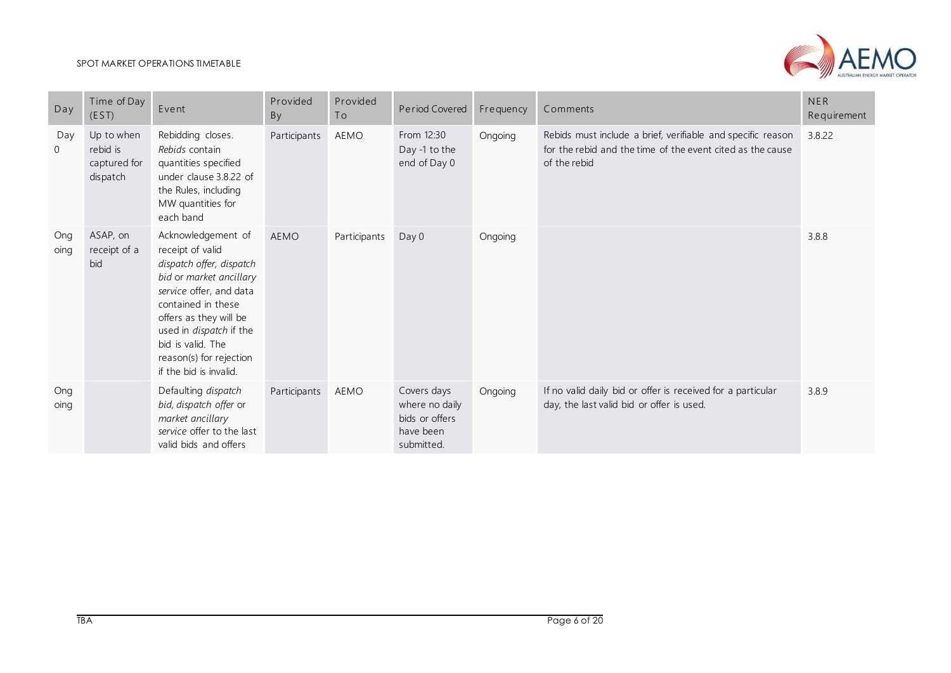

| Day                   | Time of Day<br>(EST)                               | Event                                                                                                                                                                                                                                                                                | Provided<br>By | Provided<br>To | Period Covered                                                             | Frequency | Comments                                                                                                                                  | <b>NER</b><br>Requirement |
|-----------------------|----------------------------------------------------|--------------------------------------------------------------------------------------------------------------------------------------------------------------------------------------------------------------------------------------------------------------------------------------|----------------|----------------|----------------------------------------------------------------------------|-----------|-------------------------------------------------------------------------------------------------------------------------------------------|---------------------------|
| Day<br>$\overline{0}$ | Up to when<br>rebid is<br>captured for<br>dispatch | Rebidding closes.<br>Rebids contain<br>quantities specified<br>under clause 3.8.22 of<br>the Rules, including<br>MW quantities for<br>each band                                                                                                                                      | Participants   | AEMO           | From 12:30<br>Day -1 to the<br>end of Day 0                                | Ongoing   | Rebids must include a brief, verifiable and specific reason<br>for the rebid and the time of the event cited as the cause<br>of the rebid | 3.8.22                    |
| Ong<br>oing           | ASAP, on<br>receipt of a<br>bid                    | Acknowledgement of<br>receipt of valid<br>dispatch offer, dispatch<br>bid or market ancillary<br>service offer, and data<br>contained in these<br>offers as they will be<br>used in <i>dispatch</i> if the<br>bid is valid. The<br>reason(s) for rejection<br>if the bid is invalid. | AEMO           | Participants   | Day 0                                                                      | Ongoing   |                                                                                                                                           | 3.8.8                     |
| Ong<br>oing           |                                                    | Defaulting dispatch<br>bid, dispatch offer or<br>market ancillary<br>service offer to the last<br>valid bids and offers                                                                                                                                                              | Participants   | AEMO           | Covers days<br>where no daily<br>bids or offers<br>have been<br>submitted. | Ongoing   | If no valid daily bid or offer is received for a particular<br>day, the last valid bid or offer is used.                                  | 3.8.9                     |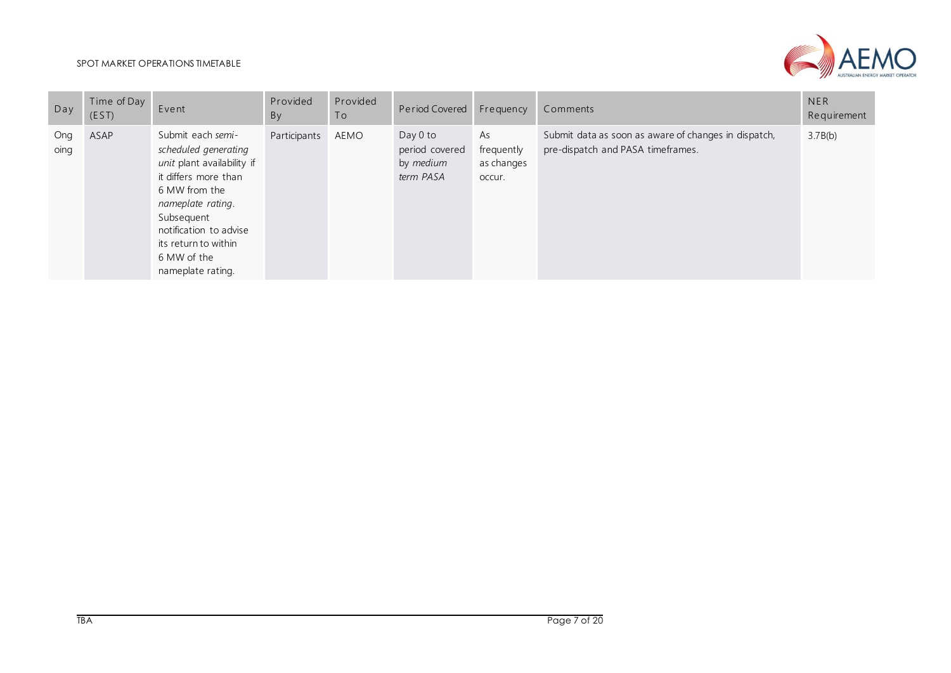

| Dav         | Time of Day<br>(EST) | Event                                                                                                                                                                                                                                     | Provided<br>By | Provided<br>To | Period Covered                                         | Frequency                                | Comments                                                                                  | <b>NER</b><br>Requirement |
|-------------|----------------------|-------------------------------------------------------------------------------------------------------------------------------------------------------------------------------------------------------------------------------------------|----------------|----------------|--------------------------------------------------------|------------------------------------------|-------------------------------------------------------------------------------------------|---------------------------|
| Ong<br>oing | ASAP                 | Submit each semi-<br>scheduled generating<br>unit plant availability if<br>it differs more than<br>6 MW from the<br>nameplate rating.<br>Subsequent<br>notification to advise<br>its return to within<br>6 MW of the<br>nameplate rating. | Participants   | AEMO           | Day $0$ to<br>period covered<br>by medium<br>term PASA | As<br>frequently<br>as changes<br>occur. | Submit data as soon as aware of changes in dispatch,<br>pre-dispatch and PASA timeframes. | 3.7B(b)                   |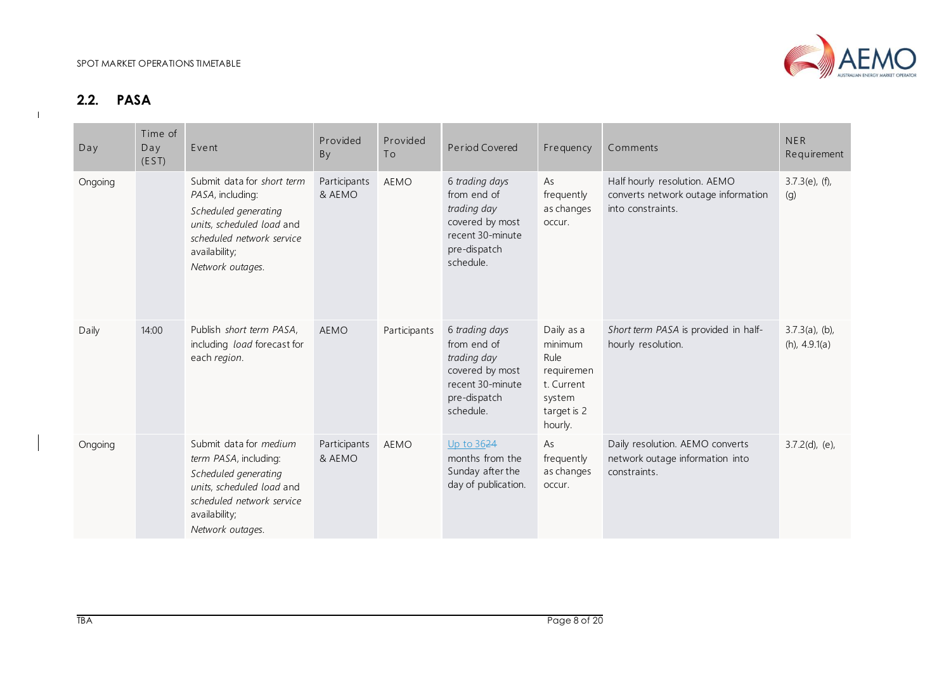

# **2.2. PASA**

<span id="page-7-0"></span>

| Day     | Time of<br>Day<br>(EST) | Event                                                                                                                                                                  | Provided<br>By         | Provided<br>To | Period Covered                                                                                                   | Frequency                                                                                     | Comments                                                                                 | <b>NER</b><br>Requirement             |
|---------|-------------------------|------------------------------------------------------------------------------------------------------------------------------------------------------------------------|------------------------|----------------|------------------------------------------------------------------------------------------------------------------|-----------------------------------------------------------------------------------------------|------------------------------------------------------------------------------------------|---------------------------------------|
| Ongoing |                         | Submit data for short term<br>PASA, including:<br>Scheduled generating<br>units, scheduled load and<br>scheduled network service<br>availability;<br>Network outages.  | Participants<br>& AEMO | <b>AEMO</b>    | 6 trading days<br>from end of<br>trading day<br>covered by most<br>recent 30-minute<br>pre-dispatch<br>schedule. | As<br>frequently<br>as changes<br>occur.                                                      | Half hourly resolution. AEMO<br>converts network outage information<br>into constraints. | $3.7.3(e)$ , (f),<br>(g)              |
| Daily   | 14:00                   | Publish short term PASA,<br>including load forecast for<br>each region.                                                                                                | <b>AEMO</b>            | Participants   | 6 trading days<br>from end of<br>trading day<br>covered by most<br>recent 30-minute<br>pre-dispatch<br>schedule. | Daily as a<br>minimum<br>Rule<br>requiremen<br>t. Current<br>system<br>target is 2<br>hourly. | Short term PASA is provided in half-<br>hourly resolution.                               | $3.7.3(a)$ , (b),<br>$(h)$ , 4.9.1(a) |
| Ongoing |                         | Submit data for medium<br>term PASA, including:<br>Scheduled generating<br>units, scheduled load and<br>scheduled network service<br>availability;<br>Network outages. | Participants<br>& AEMO | <b>AEMO</b>    | Up to 3624<br>months from the<br>Sunday after the<br>day of publication.                                         | As<br>frequently<br>as changes<br>occur.                                                      | Daily resolution. AEMO converts<br>network outage information into<br>constraints.       | $3.7.2(d)$ , (e),                     |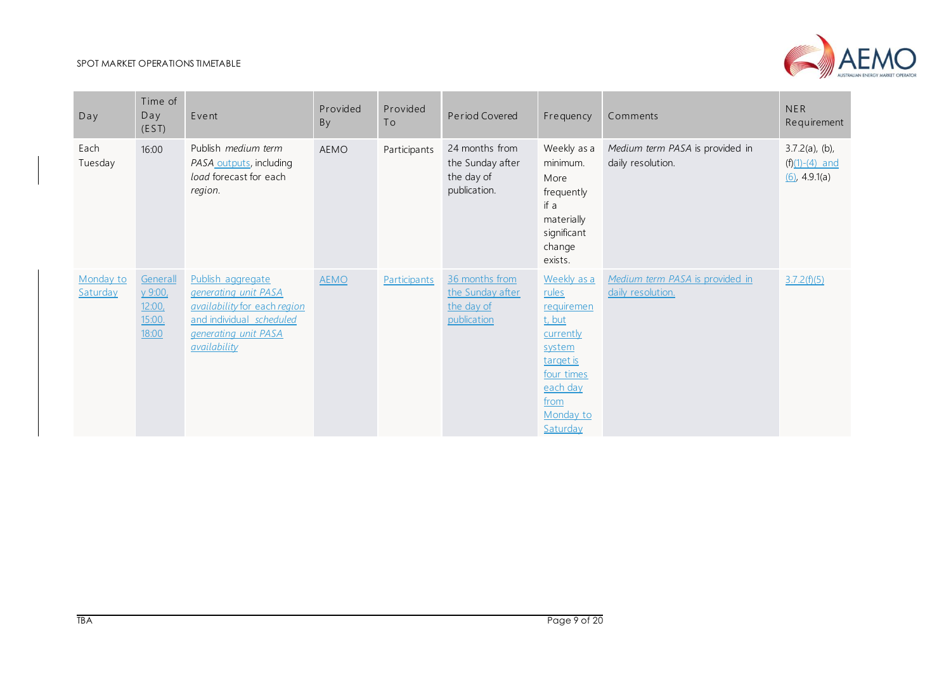

| Day                   | Time of<br>Day<br>(EST)                         | Event                                                                                                                                                | Provided<br>By | Provided<br>To | Period Covered                                                   | Frequency                                                                                                                                   | Comments                                             | <b>NER</b><br>Requirement                                 |
|-----------------------|-------------------------------------------------|------------------------------------------------------------------------------------------------------------------------------------------------------|----------------|----------------|------------------------------------------------------------------|---------------------------------------------------------------------------------------------------------------------------------------------|------------------------------------------------------|-----------------------------------------------------------|
| Each<br>Tuesday       | 16:00                                           | Publish medium term<br>PASA outputs, including<br>load forecast for each<br>region.                                                                  | <b>AEMO</b>    | Participants   | 24 months from<br>the Sunday after<br>the day of<br>publication. | Weekly as a<br>minimum.<br>More<br>frequently<br>if a<br>materially<br>significant<br>change<br>exists.                                     | Medium term PASA is provided in<br>daily resolution. | $3.7.2(a)$ , (b),<br>$(f)(1)-(4)$ and<br>$(6)$ , 4.9.1(a) |
| Monday to<br>Saturday | Generall<br>у 9:00,<br>12:00<br>15:00.<br>18:00 | Publish aggregate<br>generating unit PASA<br>availability for each region<br>and individual scheduled<br>generating unit PASA<br><i>availability</i> | <b>AEMO</b>    | Participants   | 36 months from<br>the Sunday after<br>the day of<br>publication  | Weekly as a<br>rules<br>requiremen<br>t, but<br>currently<br>system<br>target is<br>four times<br>each day<br>from<br>Monday to<br>Saturday | Medium term PASA is provided in<br>daily resolution. | 3.7.2(f)(5)                                               |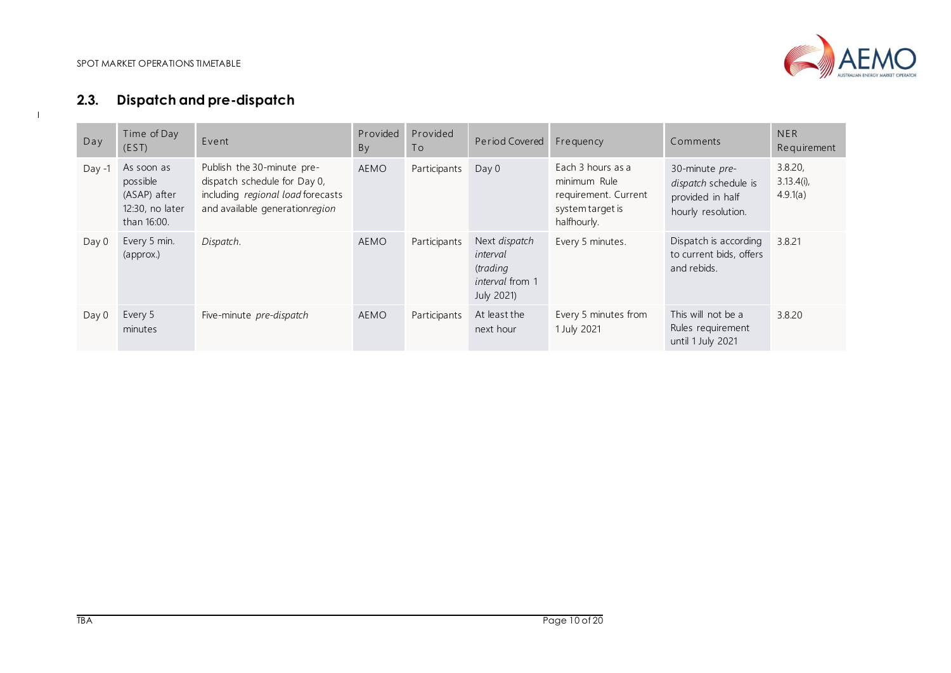$\mathbf{I}$ 



# **2.3. Dispatch and pre-dispatch**

<span id="page-9-0"></span>

| Day      | Time of Day<br>(EST)                                                     | Event                                                                                                                             | Provided<br>By | Provided<br>To | Period Covered                                                                | Frequency                                                                                    | Comments                                                                         | <b>NER</b><br>Requirement            |
|----------|--------------------------------------------------------------------------|-----------------------------------------------------------------------------------------------------------------------------------|----------------|----------------|-------------------------------------------------------------------------------|----------------------------------------------------------------------------------------------|----------------------------------------------------------------------------------|--------------------------------------|
| $Day -1$ | As soon as<br>possible<br>(ASAP) after<br>12:30, no later<br>than 16:00. | Publish the 30-minute pre-<br>dispatch schedule for Day 0,<br>including regional load forecasts<br>and available generationregion | <b>AEMO</b>    | Participants   | Day 0                                                                         | Each 3 hours as a<br>minimum Rule<br>requirement. Current<br>system target is<br>halfhourly. | 30-minute pre-<br>dispatch schedule is<br>provided in half<br>hourly resolution. | 3.8.20,<br>$3.13.4(i)$ ,<br>4.9.1(a) |
| Day 0    | Every 5 min.<br>(approx.)                                                | Dispatch.                                                                                                                         | <b>AEMO</b>    | Participants   | Next dispatch<br>interval<br>(trading<br><i>interval</i> from 1<br>July 2021) | Every 5 minutes.                                                                             | Dispatch is according<br>to current bids, offers<br>and rebids.                  | 3.8.21                               |
| Day 0    | Every 5<br>minutes                                                       | Five-minute pre-dispatch                                                                                                          | <b>AEMO</b>    | Participants   | At least the<br>next hour                                                     | Every 5 minutes from<br>1 July 2021                                                          | This will not be a<br>Rules requirement<br>until 1 July 2021                     | 3.8.20                               |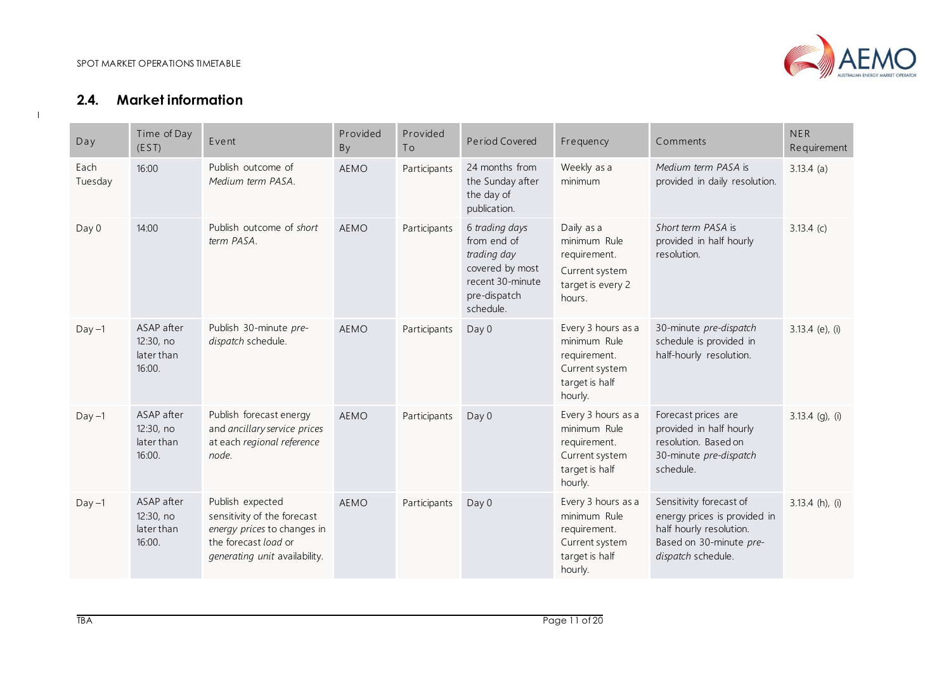

# **2.4. Market information**

<span id="page-10-0"></span>

| Day             | Time of Day<br>(EST)                            | Event                                                                                                                                   | Provided<br>By | Provided<br>To | Period Covered                                                                                                   | Frequency                                                                                         | Comments                                                                                                                            | <b>NER</b><br>Requirement |
|-----------------|-------------------------------------------------|-----------------------------------------------------------------------------------------------------------------------------------------|----------------|----------------|------------------------------------------------------------------------------------------------------------------|---------------------------------------------------------------------------------------------------|-------------------------------------------------------------------------------------------------------------------------------------|---------------------------|
| Each<br>Tuesday | 16:00                                           | Publish outcome of<br>Medium term PASA.                                                                                                 | <b>AEMO</b>    | Participants   | 24 months from<br>the Sunday after<br>the day of<br>publication.                                                 | Weekly as a<br>minimum                                                                            | Medium term PASA is<br>provided in daily resolution.                                                                                | $3.13.4$ (a)              |
| Day 0           | 14:00                                           | Publish outcome of short<br>term PASA.                                                                                                  | <b>AEMO</b>    | Participants   | 6 trading days<br>from end of<br>trading day<br>covered by most<br>recent 30-minute<br>pre-dispatch<br>schedule. | Daily as a<br>minimum Rule<br>requirement.<br>Current system<br>target is every 2<br>hours.       | Short term PASA is<br>provided in half hourly<br>resolution.                                                                        | $3.13.4$ (c)              |
| $Day -1$        | ASAP after<br>12:30, no<br>later than<br>16:00. | Publish 30-minute pre-<br>dispatch schedule.                                                                                            | <b>AEMO</b>    | Participants   | Day 0                                                                                                            | Every 3 hours as a<br>minimum Rule<br>requirement.<br>Current system<br>target is half<br>hourly. | 30-minute pre-dispatch<br>schedule is provided in<br>half-hourly resolution.                                                        | $3.13.4$ (e), (i)         |
| $Day -1$        | ASAP after<br>12:30, no<br>later than<br>16:00. | Publish forecast energy<br>and ancillary service prices<br>at each regional reference<br>node.                                          | <b>AEMO</b>    | Participants   | Day 0                                                                                                            | Every 3 hours as a<br>minimum Rule<br>requirement.<br>Current system<br>target is half<br>hourly. | Forecast prices are<br>provided in half hourly<br>resolution. Based on<br>30-minute pre-dispatch<br>schedule.                       | $3.13.4$ (g), (i)         |
| $Day -1$        | ASAP after<br>12:30, no<br>later than<br>16:00. | Publish expected<br>sensitivity of the forecast<br>energy prices to changes in<br>the forecast load or<br>generating unit availability. | <b>AEMO</b>    | Participants   | Day 0                                                                                                            | Every 3 hours as a<br>minimum Rule<br>requirement.<br>Current system<br>target is half<br>hourly. | Sensitivity forecast of<br>energy prices is provided in<br>half hourly resolution.<br>Based on 30-minute pre-<br>dispatch schedule. | $3.13.4$ (h), (i)         |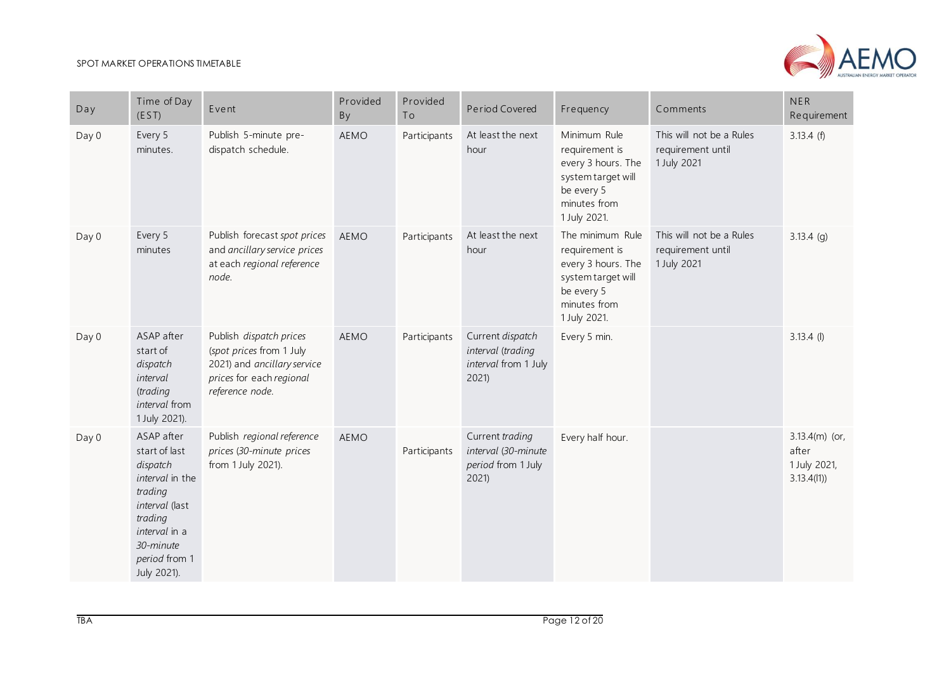

| Day   | Time of Day<br>(EST)                                                                                                                                             | Event                                                                                                                             | Provided<br>By | Provided<br>To | Period Covered                                                        | Frequency                                                                                                                    | Comments                                                     | <b>NER</b><br>Requirement                               |
|-------|------------------------------------------------------------------------------------------------------------------------------------------------------------------|-----------------------------------------------------------------------------------------------------------------------------------|----------------|----------------|-----------------------------------------------------------------------|------------------------------------------------------------------------------------------------------------------------------|--------------------------------------------------------------|---------------------------------------------------------|
| Day 0 | Every 5<br>minutes.                                                                                                                                              | Publish 5-minute pre-<br>dispatch schedule.                                                                                       | AEMO           | Participants   | At least the next<br>hour                                             | Minimum Rule<br>requirement is<br>every 3 hours. The<br>system target will<br>be every 5<br>minutes from<br>1 July 2021.     | This will not be a Rules<br>requirement until<br>1 July 2021 | 3.13.4(f)                                               |
| Day 0 | Every 5<br>minutes                                                                                                                                               | Publish forecast spot prices<br>and ancillary service prices<br>at each regional reference<br>node.                               | <b>AEMO</b>    | Participants   | At least the next<br>hour                                             | The minimum Rule<br>requirement is<br>every 3 hours. The<br>system target will<br>be every 5<br>minutes from<br>1 July 2021. | This will not be a Rules<br>requirement until<br>1 July 2021 | $3.13.4$ (g)                                            |
| Day 0 | ASAP after<br>start of<br>dispatch<br>interval<br>(trading<br>interval from<br>1 July 2021).                                                                     | Publish dispatch prices<br>(spot prices from 1 July<br>2021) and ancillary service<br>prices for each regional<br>reference node. | <b>AEMO</b>    | Participants   | Current dispatch<br>interval (trading<br>interval from 1 July<br>2021 | Every 5 min.                                                                                                                 |                                                              | $3.13.4$ (l)                                            |
| Day 0 | ASAP after<br>start of last<br>dispatch<br>interval in the<br>trading<br>interval (last<br>trading<br>interval in a<br>30-minute<br>period from 1<br>July 2021). | Publish regional reference<br>prices (30-minute prices<br>from 1 July 2021).                                                      | <b>AEMO</b>    | Participants   | Current trading<br>interval (30-minute<br>period from 1 July<br>2021  | Every half hour.                                                                                                             |                                                              | $3.13.4(m)$ (or,<br>after<br>1 July 2021,<br>3.13.4(11) |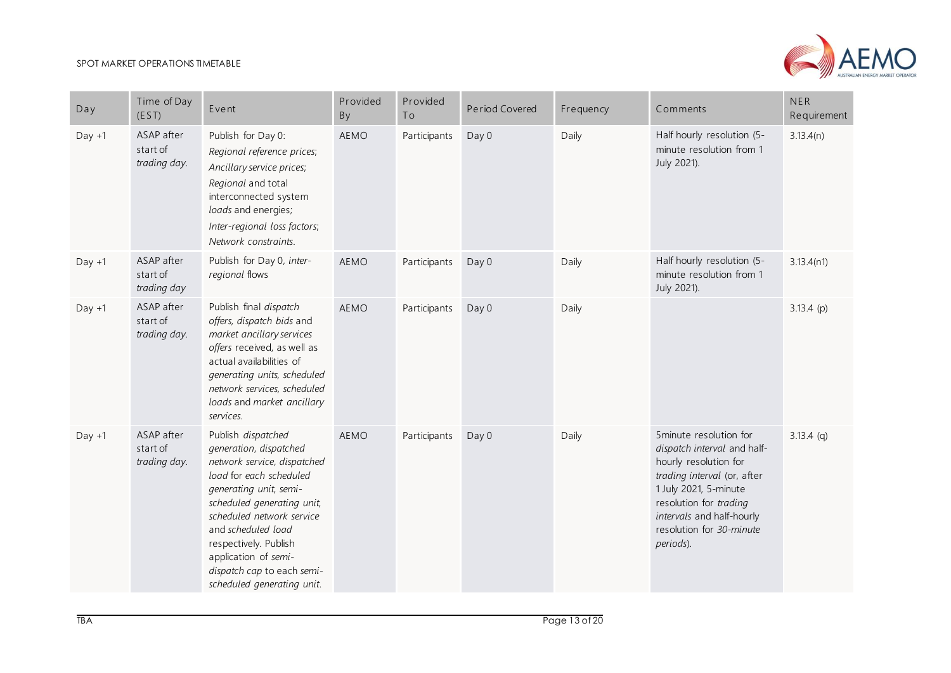

| Day      | Time of Day<br>(EST)                   | Event                                                                                                                                                                                                                                                                                                                          | Provided<br>By | Provided<br>To | Period Covered | Frequency | Comments                                                                                                                                                                                                                               | NER<br>Requirement |
|----------|----------------------------------------|--------------------------------------------------------------------------------------------------------------------------------------------------------------------------------------------------------------------------------------------------------------------------------------------------------------------------------|----------------|----------------|----------------|-----------|----------------------------------------------------------------------------------------------------------------------------------------------------------------------------------------------------------------------------------------|--------------------|
| $Day +1$ | ASAP after<br>start of<br>trading day. | Publish for Day 0:<br>Regional reference prices;<br>Ancillary service prices;<br>Regional and total<br>interconnected system<br>loads and energies;<br>Inter-regional loss factors;<br>Network constraints.                                                                                                                    | <b>AEMO</b>    | Participants   | Day 0          | Daily     | Half hourly resolution (5-<br>minute resolution from 1<br>July 2021).                                                                                                                                                                  | 3.13.4(n)          |
| $Day +1$ | ASAP after<br>start of<br>trading day  | Publish for Day 0, inter-<br>regional flows                                                                                                                                                                                                                                                                                    | <b>AEMO</b>    | Participants   | Day 0          | Daily     | Half hourly resolution (5-<br>minute resolution from 1<br>July 2021).                                                                                                                                                                  | 3.13.4(n1)         |
| $Day +1$ | ASAP after<br>start of<br>trading day. | Publish final dispatch<br>offers, dispatch bids and<br>market ancillary services<br>offers received, as well as<br>actual availabilities of<br>generating units, scheduled<br>network services, scheduled<br>loads and market ancillary<br>services.                                                                           | <b>AEMO</b>    | Participants   | Day 0          | Daily     |                                                                                                                                                                                                                                        | $3.13.4$ (p)       |
| $Day +1$ | ASAP after<br>start of<br>trading day. | Publish dispatched<br>generation, dispatched<br>network service, dispatched<br>load for each scheduled<br>generating unit, semi-<br>scheduled generating unit,<br>scheduled network service<br>and scheduled load<br>respectively. Publish<br>application of semi-<br>dispatch cap to each semi-<br>scheduled generating unit. | <b>AEMO</b>    | Participants   | Day 0          | Daily     | 5minute resolution for<br>dispatch interval and half-<br>hourly resolution for<br>trading interval (or, after<br>1 July 2021, 5-minute<br>resolution for trading<br>intervals and half-hourly<br>resolution for 30-minute<br>periods). | $3.13.4$ (q)       |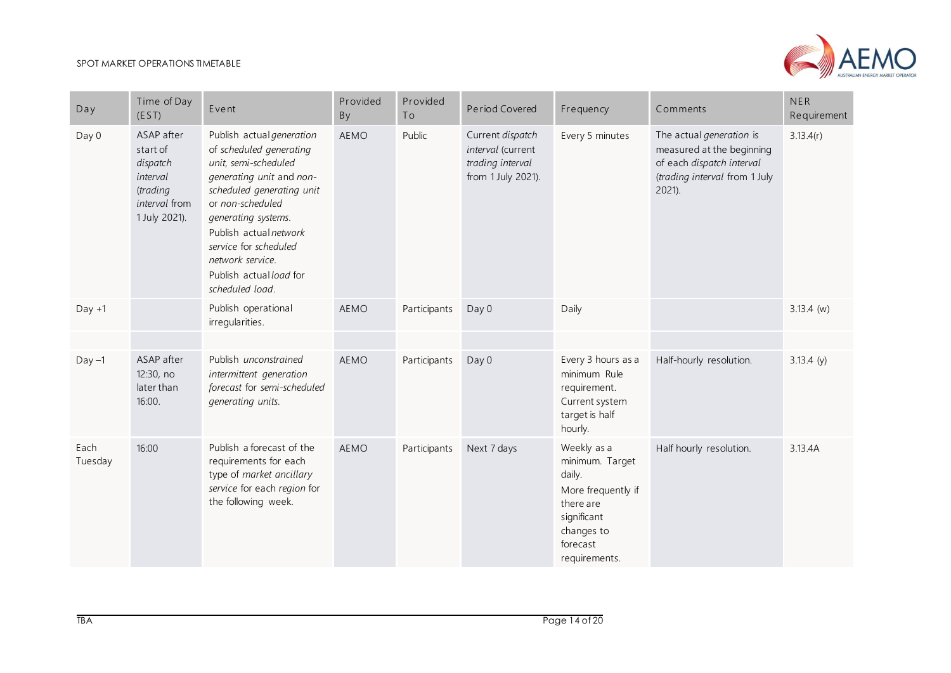

| Day             | Time of Day<br>(EST)                                                                         | Event                                                                                                                                                                                                                                                                                                 | Provided<br>By | Provided<br>To | Period Covered                                                                  | Frequency                                                                                                                             | Comments                                                                                                                         | <b>NER</b><br>Requirement |
|-----------------|----------------------------------------------------------------------------------------------|-------------------------------------------------------------------------------------------------------------------------------------------------------------------------------------------------------------------------------------------------------------------------------------------------------|----------------|----------------|---------------------------------------------------------------------------------|---------------------------------------------------------------------------------------------------------------------------------------|----------------------------------------------------------------------------------------------------------------------------------|---------------------------|
| Day 0           | ASAP after<br>start of<br>dispatch<br>interval<br>(trading<br>interval from<br>1 July 2021). | Publish actual generation<br>of scheduled generating<br>unit, semi-scheduled<br>generating unit and non-<br>scheduled generating unit<br>or non-scheduled<br>generating systems.<br>Publish actual network<br>service for scheduled<br>network service.<br>Publish actual load for<br>scheduled load. | <b>AEMO</b>    | Public         | Current dispatch<br>interval (current<br>trading interval<br>from 1 July 2021). | Every 5 minutes                                                                                                                       | The actual generation is<br>measured at the beginning<br>of each dispatch interval<br>(trading interval from 1 July<br>$2021$ ). | 3.13.4(r)                 |
| $Day +1$        |                                                                                              | Publish operational<br>irregularities.                                                                                                                                                                                                                                                                | <b>AEMO</b>    | Participants   | Day 0                                                                           | Daily                                                                                                                                 |                                                                                                                                  | $3.13.4$ (w)              |
|                 |                                                                                              |                                                                                                                                                                                                                                                                                                       |                |                |                                                                                 |                                                                                                                                       |                                                                                                                                  |                           |
| $Day -1$        | ASAP after<br>12:30, no<br>later than<br>16:00.                                              | Publish unconstrained<br>intermittent generation<br>forecast for semi-scheduled<br>generating units.                                                                                                                                                                                                  | <b>AEMO</b>    | Participants   | Day 0                                                                           | Every 3 hours as a<br>minimum Rule<br>requirement.<br>Current system<br>target is half<br>hourly.                                     | Half-hourly resolution.                                                                                                          | 3.13.4(y)                 |
| Each<br>Tuesday | 16:00                                                                                        | Publish a forecast of the<br>requirements for each<br>type of market ancillary<br>service for each region for<br>the following week.                                                                                                                                                                  | <b>AEMO</b>    | Participants   | Next 7 days                                                                     | Weekly as a<br>minimum. Target<br>daily.<br>More frequently if<br>there are<br>significant<br>changes to<br>forecast<br>requirements. | Half hourly resolution.                                                                                                          | 3.13.4A                   |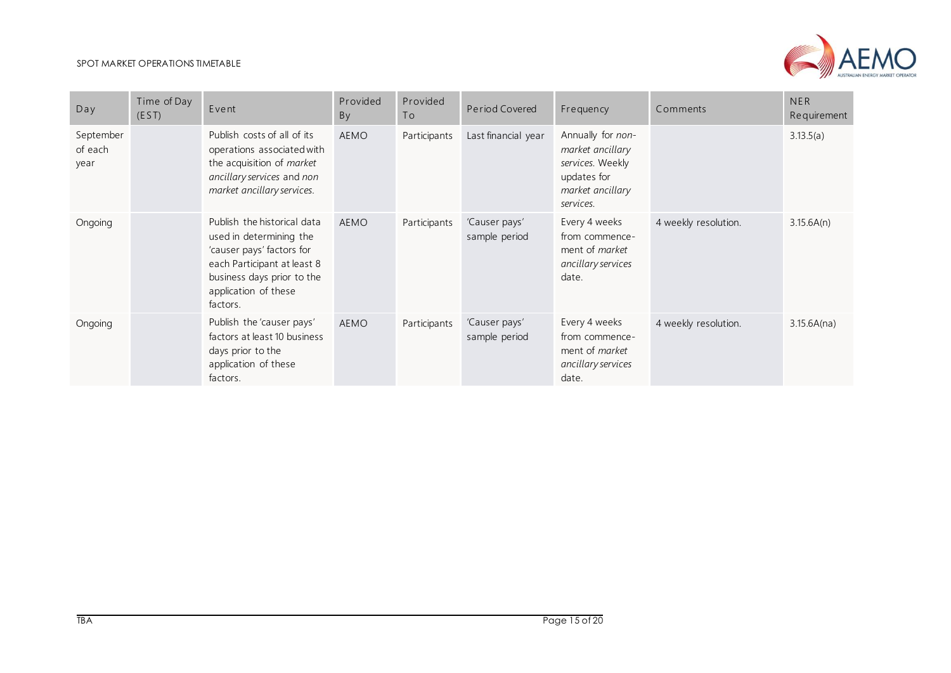

| Day                          | Time of Day<br>(EST) | Event                                                                                                                                                                                | Provided<br>By | Provided<br>To | Period Covered                 | Frequency                                                                                                 | Comments             | <b>NER</b><br>Requirement |
|------------------------------|----------------------|--------------------------------------------------------------------------------------------------------------------------------------------------------------------------------------|----------------|----------------|--------------------------------|-----------------------------------------------------------------------------------------------------------|----------------------|---------------------------|
| September<br>of each<br>year |                      | Publish costs of all of its<br>operations associated with<br>the acquisition of market<br>ancillary services and non<br>market ancillary services.                                   | AEMO           | Participants   | Last financial year            | Annually for non-<br>market ancillary<br>services. Weekly<br>updates for<br>market ancillary<br>services. |                      | 3.13.5(a)                 |
| Ongoing                      |                      | Publish the historical data<br>used in determining the<br>'causer pays' factors for<br>each Participant at least 8<br>business days prior to the<br>application of these<br>factors. | AEMO           | Participants   | 'Causer pays'<br>sample period | Every 4 weeks<br>from commence-<br>ment of <i>market</i><br>ancillary services<br>date.                   | 4 weekly resolution. | 3.15.6A(n)                |
| Ongoing                      |                      | Publish the 'causer pays'<br>factors at least 10 business<br>days prior to the<br>application of these<br>factors.                                                                   | AEMO           | Participants   | 'Causer pays'<br>sample period | Every 4 weeks<br>from commence-<br>ment of market<br>ancillary services<br>date.                          | 4 weekly resolution. | 3.15.6A(na)               |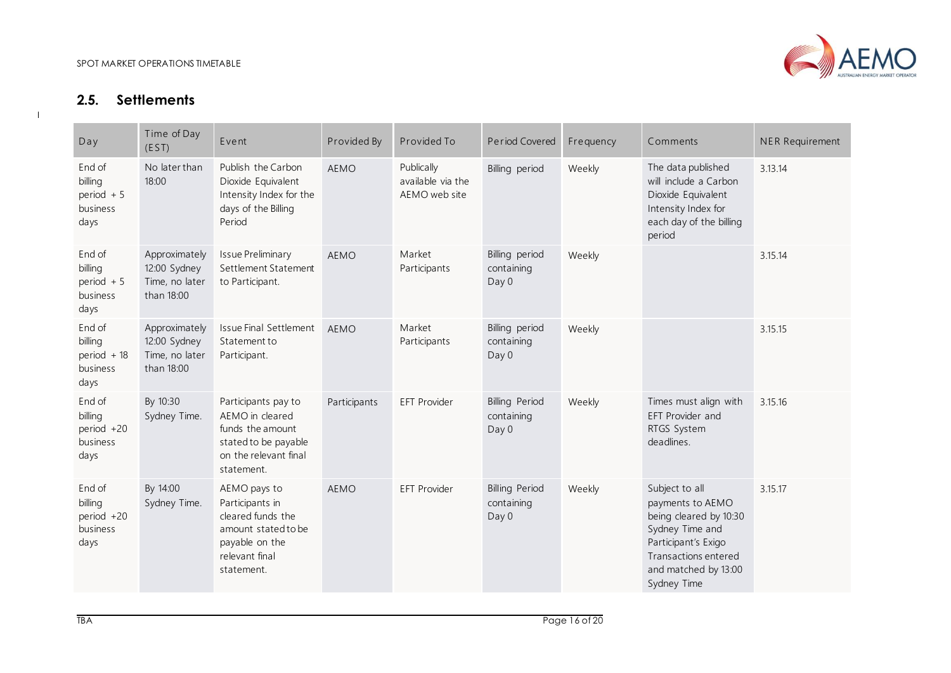

# **2.5. Settlements**

<span id="page-15-0"></span>

| Day                                                  | Time of Day<br>(EST)                                          | Event                                                                                                                         | Provided By  | Provided To                                      | Period Covered                               | Frequency | Comments                                                                                                                                                              | <b>NER Requirement</b> |
|------------------------------------------------------|---------------------------------------------------------------|-------------------------------------------------------------------------------------------------------------------------------|--------------|--------------------------------------------------|----------------------------------------------|-----------|-----------------------------------------------------------------------------------------------------------------------------------------------------------------------|------------------------|
| End of<br>billing<br>period $+5$<br>business<br>days | No later than<br>18:00                                        | Publish the Carbon<br>Dioxide Equivalent<br>Intensity Index for the<br>days of the Billing<br>Period                          | <b>AEMO</b>  | Publically<br>available via the<br>AEMO web site | Billing period                               | Weekly    | The data published<br>will include a Carbon<br>Dioxide Equivalent<br>Intensity Index for<br>each day of the billing<br>period                                         | 3.13.14                |
| End of<br>billing<br>period $+5$<br>business<br>days | Approximately<br>12:00 Sydney<br>Time, no later<br>than 18:00 | <b>Issue Preliminary</b><br>Settlement Statement<br>to Participant.                                                           | <b>AEMO</b>  | Market<br>Participants                           | Billing period<br>containing<br>Day 0        | Weekly    |                                                                                                                                                                       | 3.15.14                |
| End of<br>billing<br>period + 18<br>business<br>days | Approximately<br>12:00 Sydney<br>Time, no later<br>than 18:00 | Issue Final Settlement<br>Statement to<br>Participant.                                                                        | <b>AEMO</b>  | Market<br>Participants                           | Billing period<br>containing<br>Day 0        | Weekly    |                                                                                                                                                                       | 3.15.15                |
| End of<br>billing<br>period +20<br>business<br>days  | By 10:30<br>Sydney Time.                                      | Participants pay to<br>AEMO in cleared<br>funds the amount<br>stated to be payable<br>on the relevant final<br>statement.     | Participants | EFT Provider                                     | <b>Billing Period</b><br>containing<br>Day 0 | Weekly    | Times must align with<br>EFT Provider and<br>RTGS System<br>deadlines.                                                                                                | 3.15.16                |
| End of<br>billing<br>period +20<br>business<br>days  | By 14:00<br>Sydney Time.                                      | AEMO pays to<br>Participants in<br>cleared funds the<br>amount stated to be<br>payable on the<br>relevant final<br>statement. | <b>AEMO</b>  | <b>EFT Provider</b>                              | <b>Billing Period</b><br>containing<br>Day 0 | Weekly    | Subject to all<br>payments to AEMO<br>being cleared by 10:30<br>Sydney Time and<br>Participant's Exigo<br>Transactions entered<br>and matched by 13:00<br>Sydney Time | 3.15.17                |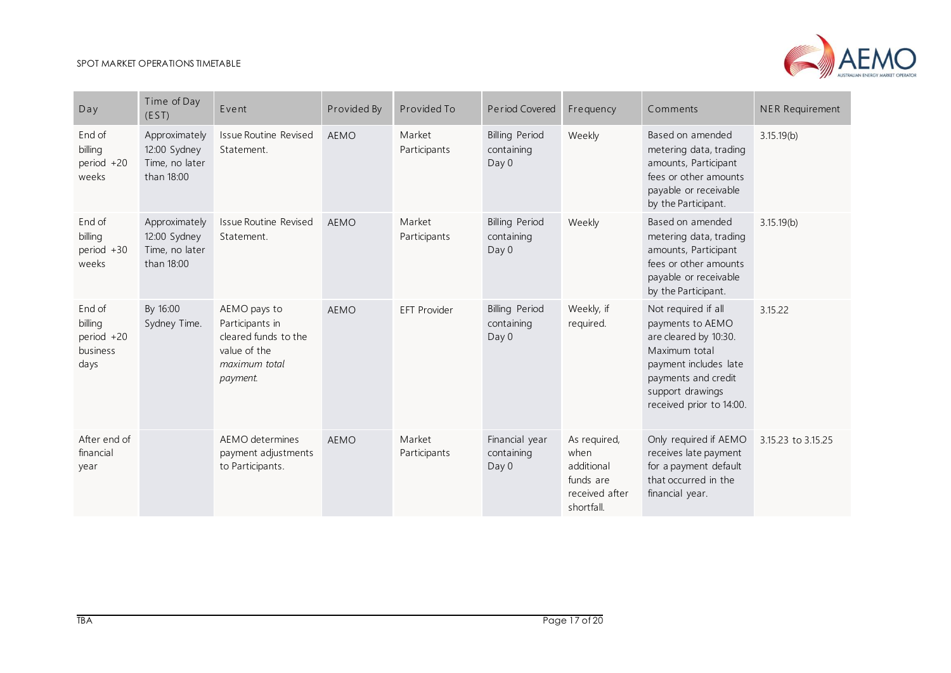**Contract Contract** 



| Day                                                 | Time of Day<br>(EST)                                          | Event                                                                                                | Provided By | Provided To            | Period Covered                               | Frequency                                                                       | Comments                                                                                                                                                                          | <b>NER Requirement</b> |
|-----------------------------------------------------|---------------------------------------------------------------|------------------------------------------------------------------------------------------------------|-------------|------------------------|----------------------------------------------|---------------------------------------------------------------------------------|-----------------------------------------------------------------------------------------------------------------------------------------------------------------------------------|------------------------|
| End of<br>billing<br>period +20<br>weeks            | Approximately<br>12:00 Sydney<br>Time, no later<br>than 18:00 | <b>Issue Routine Revised</b><br>Statement.                                                           | <b>AEMO</b> | Market<br>Participants | <b>Billing Period</b><br>containing<br>Day 0 | Weekly                                                                          | Based on amended<br>metering data, trading<br>amounts, Participant<br>fees or other amounts<br>payable or receivable<br>by the Participant.                                       | 3.15.19(b)             |
| End of<br>billing<br>period +30<br>weeks            | Approximately<br>12:00 Sydney<br>Time, no later<br>than 18:00 | Issue Routine Revised<br>Statement.                                                                  | <b>AEMO</b> | Market<br>Participants | <b>Billing Period</b><br>containing<br>Day 0 | Weekly                                                                          | Based on amended<br>metering data, trading<br>amounts, Participant<br>fees or other amounts<br>payable or receivable<br>by the Participant.                                       | 3.15.19(b)             |
| End of<br>billing<br>period +20<br>business<br>days | By 16:00<br>Sydney Time.                                      | AEMO pays to<br>Participants in<br>cleared funds to the<br>value of the<br>maximum total<br>payment. | <b>AEMO</b> | <b>EFT Provider</b>    | <b>Billing Period</b><br>containing<br>Day 0 | Weekly, if<br>required.                                                         | Not required if all<br>payments to AEMO<br>are cleared by 10:30.<br>Maximum total<br>payment includes late<br>payments and credit<br>support drawings<br>received prior to 14:00. | 3.15.22                |
| After end of<br>financial<br>year                   |                                                               | AEMO determines<br>payment adjustments<br>to Participants.                                           | <b>AEMO</b> | Market<br>Participants | Financial year<br>containing<br>Day 0        | As required,<br>when<br>additional<br>funds are<br>received after<br>shortfall. | Only required if AEMO<br>receives late payment<br>for a payment default<br>that occurred in the<br>financial year.                                                                | 3.15.23 to 3.15.25     |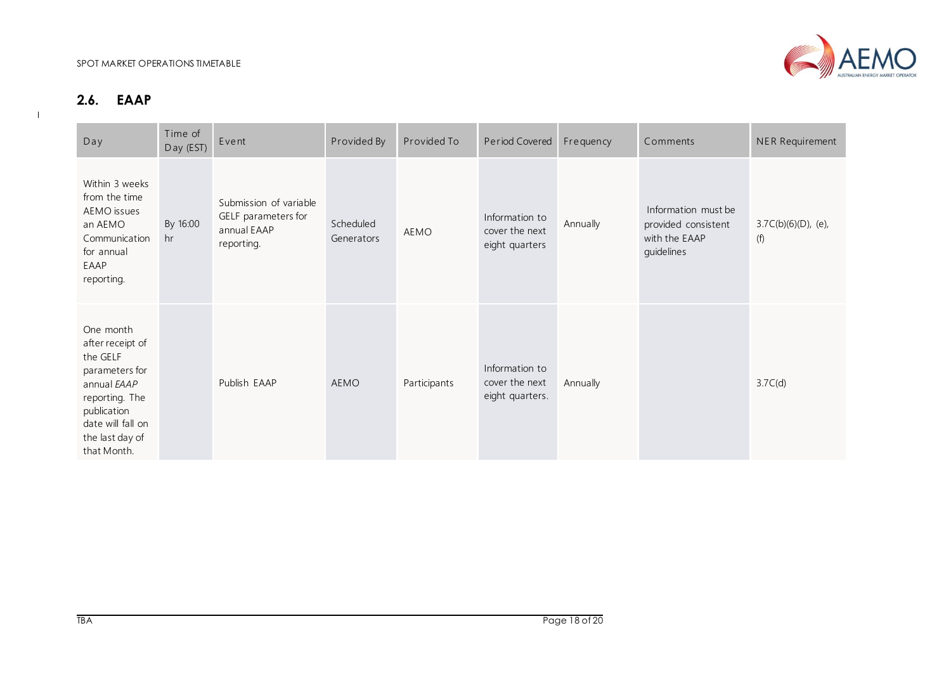

### **2.6. EAAP**

<span id="page-17-0"></span>

| Day                                                                                                                                                                | Time of<br>Day (EST) | Event                                                                      | Provided By             | Provided To  | Period Covered                                      | Frequency | Comments                                                                  | NER Requirement               |
|--------------------------------------------------------------------------------------------------------------------------------------------------------------------|----------------------|----------------------------------------------------------------------------|-------------------------|--------------|-----------------------------------------------------|-----------|---------------------------------------------------------------------------|-------------------------------|
| Within 3 weeks<br>from the time<br>AEMO issues<br>an AEMO<br>Communication<br>for annual<br>EAAP<br>reporting.                                                     | By 16:00<br>hr       | Submission of variable<br>GELF parameters for<br>annual EAAP<br>reporting. | Scheduled<br>Generators | AEMO         | Information to<br>cover the next<br>eight quarters  | Annually  | Information must be<br>provided consistent<br>with the EAAP<br>guidelines | $3.7C(b)(6)(D)$ , (e),<br>(f) |
| One month<br>after receipt of<br>the GELF<br>parameters for<br>annual EAAP<br>reporting. The<br>publication<br>date will fall on<br>the last day of<br>that Month. |                      | Publish EAAP                                                               | AEMO                    | Participants | Information to<br>cover the next<br>eight quarters. | Annually  |                                                                           | 3.7C(d)                       |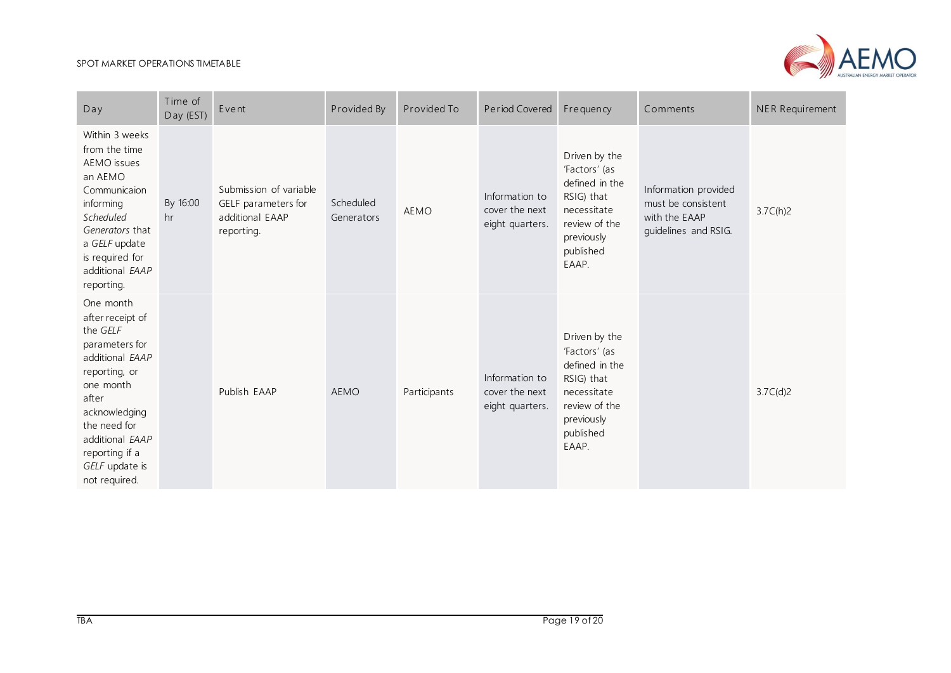

| Day                                                                                                                                                                                                                            | Time of<br>Day (EST) | Event                                                                          | Provided By             | Provided To  | Period Covered                                      | Frequency                                                                                                                          | Comments                                                                            | NER Requirement |
|--------------------------------------------------------------------------------------------------------------------------------------------------------------------------------------------------------------------------------|----------------------|--------------------------------------------------------------------------------|-------------------------|--------------|-----------------------------------------------------|------------------------------------------------------------------------------------------------------------------------------------|-------------------------------------------------------------------------------------|-----------------|
| Within 3 weeks<br>from the time<br>AEMO issues<br>an AEMO<br>Communicaion<br>informing<br>Scheduled<br>Generators that<br>a GELF update<br>is required for<br>additional EAAP<br>reporting.                                    | By 16:00<br>hr       | Submission of variable<br>GELF parameters for<br>additional EAAP<br>reporting. | Scheduled<br>Generators | <b>AEMO</b>  | Information to<br>cover the next<br>eight quarters. | Driven by the<br>'Factors' (as<br>defined in the<br>RSIG) that<br>necessitate<br>review of the<br>previously<br>published<br>EAAP. | Information provided<br>must be consistent<br>with the EAAP<br>guidelines and RSIG. | 3.7C(h)2        |
| One month<br>after receipt of<br>the GELF<br>parameters for<br>additional EAAP<br>reporting, or<br>one month<br>after<br>acknowledging<br>the need for<br>additional EAAP<br>reporting if a<br>GELF update is<br>not required. |                      | Publish EAAP                                                                   | <b>AEMO</b>             | Participants | Information to<br>cover the next<br>eight quarters. | Driven by the<br>'Factors' (as<br>defined in the<br>RSIG) that<br>necessitate<br>review of the<br>previously<br>published<br>EAAP. |                                                                                     | 3.7C(d)2        |